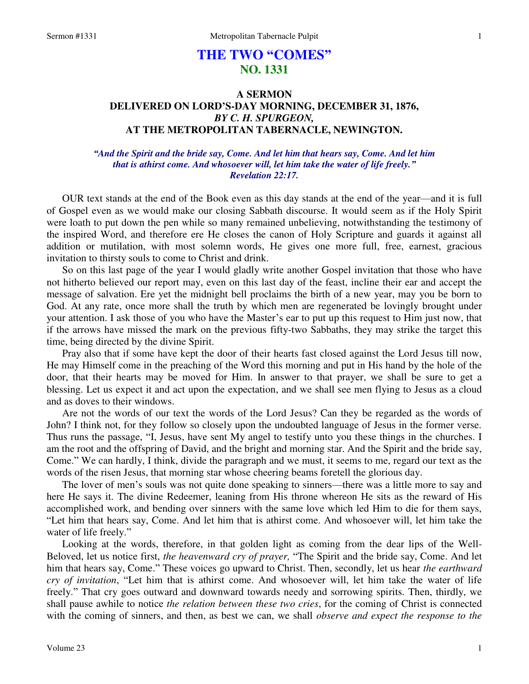# **THE TWO "COMES" NO. 1331**

# **A SERMON DELIVERED ON LORD'S-DAY MORNING, DECEMBER 31, 1876,**  *BY C. H. SPURGEON,*  **AT THE METROPOLITAN TABERNACLE, NEWINGTON.**

# *"And the Spirit and the bride say, Come. And let him that hears say, Come. And let him that is athirst come. And whosoever will, let him take the water of life freely." Revelation 22:17.*

OUR text stands at the end of the Book even as this day stands at the end of the year—and it is full of Gospel even as we would make our closing Sabbath discourse. It would seem as if the Holy Spirit were loath to put down the pen while so many remained unbelieving, notwithstanding the testimony of the inspired Word, and therefore ere He closes the canon of Holy Scripture and guards it against all addition or mutilation, with most solemn words, He gives one more full, free, earnest, gracious invitation to thirsty souls to come to Christ and drink.

 So on this last page of the year I would gladly write another Gospel invitation that those who have not hitherto believed our report may, even on this last day of the feast, incline their ear and accept the message of salvation. Ere yet the midnight bell proclaims the birth of a new year, may you be born to God. At any rate, once more shall the truth by which men are regenerated be lovingly brought under your attention. I ask those of you who have the Master's ear to put up this request to Him just now, that if the arrows have missed the mark on the previous fifty-two Sabbaths, they may strike the target this time, being directed by the divine Spirit.

 Pray also that if some have kept the door of their hearts fast closed against the Lord Jesus till now, He may Himself come in the preaching of the Word this morning and put in His hand by the hole of the door, that their hearts may be moved for Him. In answer to that prayer, we shall be sure to get a blessing. Let us expect it and act upon the expectation, and we shall see men flying to Jesus as a cloud and as doves to their windows.

 Are not the words of our text the words of the Lord Jesus? Can they be regarded as the words of John? I think not, for they follow so closely upon the undoubted language of Jesus in the former verse. Thus runs the passage, "I, Jesus, have sent My angel to testify unto you these things in the churches. I am the root and the offspring of David, and the bright and morning star. And the Spirit and the bride say, Come." We can hardly, I think, divide the paragraph and we must, it seems to me, regard our text as the words of the risen Jesus, that morning star whose cheering beams foretell the glorious day.

 The lover of men's souls was not quite done speaking to sinners—there was a little more to say and here He says it. The divine Redeemer, leaning from His throne whereon He sits as the reward of His accomplished work, and bending over sinners with the same love which led Him to die for them says, "Let him that hears say, Come. And let him that is athirst come. And whosoever will, let him take the water of life freely."

 Looking at the words, therefore, in that golden light as coming from the dear lips of the Well-Beloved, let us notice first, *the heavenward cry of prayer,* "The Spirit and the bride say, Come. And let him that hears say, Come." These voices go upward to Christ. Then, secondly, let us hear *the earthward cry of invitation*, "Let him that is athirst come. And whosoever will, let him take the water of life freely." That cry goes outward and downward towards needy and sorrowing spirits. Then, thirdly, we shall pause awhile to notice *the relation between these two cries*, for the coming of Christ is connected with the coming of sinners, and then, as best we can, we shall *observe and expect the response to the*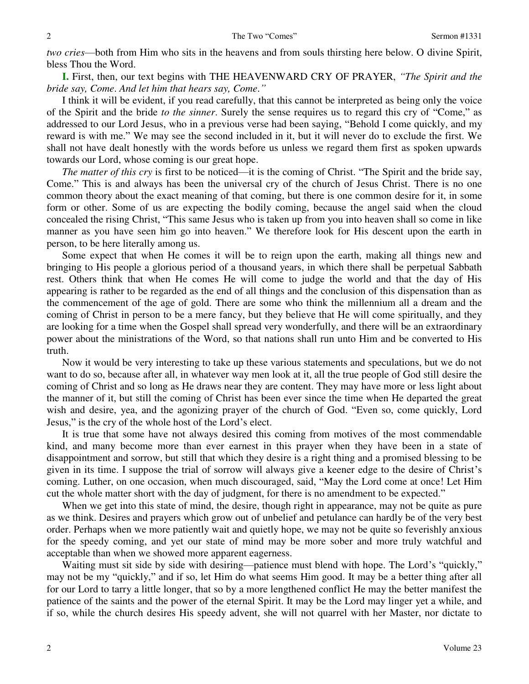*two cries*—both from Him who sits in the heavens and from souls thirsting here below. O divine Spirit, bless Thou the Word.

**I.** First, then, our text begins with THE HEAVENWARD CRY OF PRAYER, *"The Spirit and the bride say, Come*. *And let him that hears say, Come*.*"*

 I think it will be evident, if you read carefully, that this cannot be interpreted as being only the voice of the Spirit and the bride *to the sinner*. Surely the sense requires us to regard this cry of "Come," as addressed to our Lord Jesus, who in a previous verse had been saying, "Behold I come quickly, and my reward is with me." We may see the second included in it, but it will never do to exclude the first. We shall not have dealt honestly with the words before us unless we regard them first as spoken upwards towards our Lord, whose coming is our great hope.

*The matter of this cry* is first to be noticed—it is the coming of Christ. "The Spirit and the bride say, Come." This is and always has been the universal cry of the church of Jesus Christ. There is no one common theory about the exact meaning of that coming, but there is one common desire for it, in some form or other. Some of us are expecting the bodily coming, because the angel said when the cloud concealed the rising Christ, "This same Jesus who is taken up from you into heaven shall so come in like manner as you have seen him go into heaven." We therefore look for His descent upon the earth in person, to be here literally among us.

 Some expect that when He comes it will be to reign upon the earth, making all things new and bringing to His people a glorious period of a thousand years, in which there shall be perpetual Sabbath rest. Others think that when He comes He will come to judge the world and that the day of His appearing is rather to be regarded as the end of all things and the conclusion of this dispensation than as the commencement of the age of gold. There are some who think the millennium all a dream and the coming of Christ in person to be a mere fancy, but they believe that He will come spiritually, and they are looking for a time when the Gospel shall spread very wonderfully, and there will be an extraordinary power about the ministrations of the Word, so that nations shall run unto Him and be converted to His truth.

 Now it would be very interesting to take up these various statements and speculations, but we do not want to do so, because after all, in whatever way men look at it, all the true people of God still desire the coming of Christ and so long as He draws near they are content. They may have more or less light about the manner of it, but still the coming of Christ has been ever since the time when He departed the great wish and desire, yea, and the agonizing prayer of the church of God. "Even so, come quickly, Lord Jesus," is the cry of the whole host of the Lord's elect.

 It is true that some have not always desired this coming from motives of the most commendable kind, and many become more than ever earnest in this prayer when they have been in a state of disappointment and sorrow, but still that which they desire is a right thing and a promised blessing to be given in its time. I suppose the trial of sorrow will always give a keener edge to the desire of Christ's coming. Luther, on one occasion, when much discouraged, said, "May the Lord come at once! Let Him cut the whole matter short with the day of judgment, for there is no amendment to be expected."

When we get into this state of mind, the desire, though right in appearance, may not be quite as pure as we think. Desires and prayers which grow out of unbelief and petulance can hardly be of the very best order. Perhaps when we more patiently wait and quietly hope, we may not be quite so feverishly anxious for the speedy coming, and yet our state of mind may be more sober and more truly watchful and acceptable than when we showed more apparent eagerness.

 Waiting must sit side by side with desiring—patience must blend with hope. The Lord's "quickly," may not be my "quickly," and if so, let Him do what seems Him good. It may be a better thing after all for our Lord to tarry a little longer, that so by a more lengthened conflict He may the better manifest the patience of the saints and the power of the eternal Spirit. It may be the Lord may linger yet a while, and if so, while the church desires His speedy advent, she will not quarrel with her Master, nor dictate to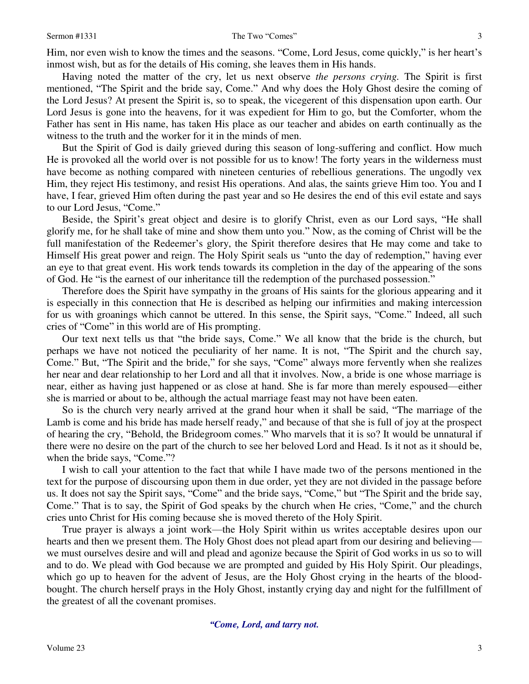Him, nor even wish to know the times and the seasons. "Come, Lord Jesus, come quickly," is her heart's inmost wish, but as for the details of His coming, she leaves them in His hands.

 Having noted the matter of the cry, let us next observe *the persons crying.* The Spirit is first mentioned, "The Spirit and the bride say, Come." And why does the Holy Ghost desire the coming of the Lord Jesus? At present the Spirit is, so to speak, the vicegerent of this dispensation upon earth. Our Lord Jesus is gone into the heavens, for it was expedient for Him to go, but the Comforter, whom the Father has sent in His name, has taken His place as our teacher and abides on earth continually as the witness to the truth and the worker for it in the minds of men.

 But the Spirit of God is daily grieved during this season of long-suffering and conflict. How much He is provoked all the world over is not possible for us to know! The forty years in the wilderness must have become as nothing compared with nineteen centuries of rebellious generations. The ungodly vex Him, they reject His testimony, and resist His operations. And alas, the saints grieve Him too. You and I have, I fear, grieved Him often during the past year and so He desires the end of this evil estate and says to our Lord Jesus, "Come."

 Beside, the Spirit's great object and desire is to glorify Christ, even as our Lord says, "He shall glorify me, for he shall take of mine and show them unto you." Now, as the coming of Christ will be the full manifestation of the Redeemer's glory, the Spirit therefore desires that He may come and take to Himself His great power and reign. The Holy Spirit seals us "unto the day of redemption," having ever an eye to that great event. His work tends towards its completion in the day of the appearing of the sons of God. He "is the earnest of our inheritance till the redemption of the purchased possession."

 Therefore does the Spirit have sympathy in the groans of His saints for the glorious appearing and it is especially in this connection that He is described as helping our infirmities and making intercession for us with groanings which cannot be uttered. In this sense, the Spirit says, "Come." Indeed, all such cries of "Come" in this world are of His prompting.

 Our text next tells us that "the bride says, Come." We all know that the bride is the church, but perhaps we have not noticed the peculiarity of her name. It is not, "The Spirit and the church say, Come." But, "The Spirit and the bride," for she says, "Come" always more fervently when she realizes her near and dear relationship to her Lord and all that it involves. Now, a bride is one whose marriage is near, either as having just happened or as close at hand. She is far more than merely espoused—either she is married or about to be, although the actual marriage feast may not have been eaten.

 So is the church very nearly arrived at the grand hour when it shall be said, "The marriage of the Lamb is come and his bride has made herself ready," and because of that she is full of joy at the prospect of hearing the cry, "Behold, the Bridegroom comes." Who marvels that it is so? It would be unnatural if there were no desire on the part of the church to see her beloved Lord and Head. Is it not as it should be, when the bride says, "Come."?

 I wish to call your attention to the fact that while I have made two of the persons mentioned in the text for the purpose of discoursing upon them in due order, yet they are not divided in the passage before us. It does not say the Spirit says, "Come" and the bride says, "Come," but "The Spirit and the bride say, Come." That is to say, the Spirit of God speaks by the church when He cries, "Come," and the church cries unto Christ for His coming because she is moved thereto of the Holy Spirit.

3 3 True prayer is always a joint work—the Holy Spirit within us writes acceptable desires upon our hearts and then we present them. The Holy Ghost does not plead apart from our desiring and believing we must ourselves desire and will and plead and agonize because the Spirit of God works in us so to will and to do. We plead with God because we are prompted and guided by His Holy Spirit. Our pleadings, which go up to heaven for the advent of Jesus, are the Holy Ghost crying in the hearts of the bloodbought. The church herself prays in the Holy Ghost, instantly crying day and night for the fulfillment of the greatest of all the covenant promises.

## *"Come, Lord, and tarry not.*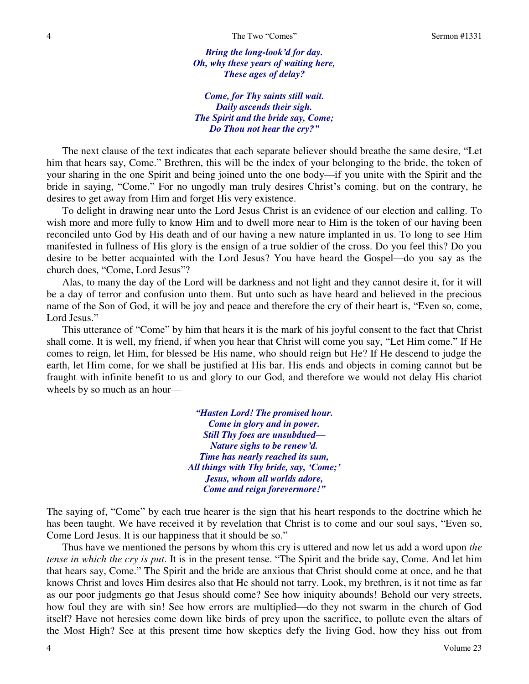*Bring the long-look'd for day. Oh, why these years of waiting here, These ages of delay?* 

*Come, for Thy saints still wait. Daily ascends their sigh. The Spirit and the bride say, Come; Do Thou not hear the cry?"*

The next clause of the text indicates that each separate believer should breathe the same desire, "Let him that hears say, Come." Brethren, this will be the index of your belonging to the bride, the token of your sharing in the one Spirit and being joined unto the one body—if you unite with the Spirit and the bride in saying, "Come." For no ungodly man truly desires Christ's coming. but on the contrary, he desires to get away from Him and forget His very existence.

 To delight in drawing near unto the Lord Jesus Christ is an evidence of our election and calling. To wish more and more fully to know Him and to dwell more near to Him is the token of our having been reconciled unto God by His death and of our having a new nature implanted in us. To long to see Him manifested in fullness of His glory is the ensign of a true soldier of the cross. Do you feel this? Do you desire to be better acquainted with the Lord Jesus? You have heard the Gospel—do you say as the church does, "Come, Lord Jesus"?

 Alas, to many the day of the Lord will be darkness and not light and they cannot desire it, for it will be a day of terror and confusion unto them. But unto such as have heard and believed in the precious name of the Son of God, it will be joy and peace and therefore the cry of their heart is, "Even so, come, Lord Jesus."

 This utterance of "Come" by him that hears it is the mark of his joyful consent to the fact that Christ shall come. It is well, my friend, if when you hear that Christ will come you say, "Let Him come." If He comes to reign, let Him, for blessed be His name, who should reign but He? If He descend to judge the earth, let Him come, for we shall be justified at His bar. His ends and objects in coming cannot but be fraught with infinite benefit to us and glory to our God, and therefore we would not delay His chariot wheels by so much as an hour—

> *"Hasten Lord! The promised hour. Come in glory and in power. Still Thy foes are unsubdued— Nature sighs to be renew'd. Time has nearly reached its sum, All things with Thy bride, say, 'Come;' Jesus, whom all worlds adore, Come and reign forevermore!"*

The saying of, "Come" by each true hearer is the sign that his heart responds to the doctrine which he has been taught. We have received it by revelation that Christ is to come and our soul says, "Even so, Come Lord Jesus. It is our happiness that it should be so."

 Thus have we mentioned the persons by whom this cry is uttered and now let us add a word upon *the tense in which the cry is put*. It is in the present tense. "The Spirit and the bride say, Come. And let him that hears say, Come." The Spirit and the bride are anxious that Christ should come at once, and he that knows Christ and loves Him desires also that He should not tarry. Look, my brethren, is it not time as far as our poor judgments go that Jesus should come? See how iniquity abounds! Behold our very streets, how foul they are with sin! See how errors are multiplied—do they not swarm in the church of God itself? Have not heresies come down like birds of prey upon the sacrifice, to pollute even the altars of the Most High? See at this present time how skeptics defy the living God, how they hiss out from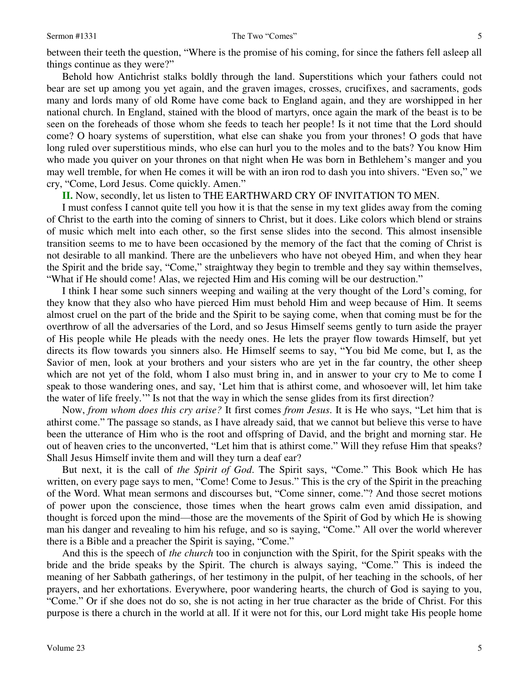#### Sermon #1331 The Two "Comes" 5

between their teeth the question, "Where is the promise of his coming, for since the fathers fell asleep all things continue as they were?"

 Behold how Antichrist stalks boldly through the land. Superstitions which your fathers could not bear are set up among you yet again, and the graven images, crosses, crucifixes, and sacraments, gods many and lords many of old Rome have come back to England again, and they are worshipped in her national church. In England, stained with the blood of martyrs, once again the mark of the beast is to be seen on the foreheads of those whom she feeds to teach her people! Is it not time that the Lord should come? O hoary systems of superstition, what else can shake you from your thrones! O gods that have long ruled over superstitious minds, who else can hurl you to the moles and to the bats? You know Him who made you quiver on your thrones on that night when He was born in Bethlehem's manger and you may well tremble, for when He comes it will be with an iron rod to dash you into shivers. "Even so," we cry, "Come, Lord Jesus. Come quickly. Amen."

**II.** Now, secondly, let us listen to THE EARTHWARD CRY OF INVITATION TO MEN.

 I must confess I cannot quite tell you how it is that the sense in my text glides away from the coming of Christ to the earth into the coming of sinners to Christ, but it does. Like colors which blend or strains of music which melt into each other, so the first sense slides into the second. This almost insensible transition seems to me to have been occasioned by the memory of the fact that the coming of Christ is not desirable to all mankind. There are the unbelievers who have not obeyed Him, and when they hear the Spirit and the bride say, "Come," straightway they begin to tremble and they say within themselves, "What if He should come! Alas, we rejected Him and His coming will be our destruction."

5 II nt s r e d e n u e g s s e s r r s e r t e p I e s e e ? s g s d g r e e r r, s e 5 I think I hear some such sinners weeping and wailing at the very thought of the Lord's coming, for they know that they also who have pierced Him must behold Him and weep because of Him. It seems almost cruel on the part of the bride and the Spirit to be saying come, when that coming must be for the overthrow of all the adversaries of the Lord, and so Jesus Himself seems gently to turn aside the prayer of His people while He pleads with the needy ones. He lets the prayer flow towards Himself, but yet directs its flow towards you sinners also. He Himself seems to say, "You bid Me come, but I, as the Savior of men, look at your brothers and your sisters who are yet in the far country, the other sheep which are not yet of the fold, whom I also must bring in, and in answer to your cry to Me to come I speak to those wandering ones, and say, 'Let him that is athirst come, and whosoever will, let him take the water of life freely.'" Is not that the way in which the sense glides from its first direction?

 Now, *from whom does this cry arise?* It first comes *from Jesus*. It is He who says, "Let him that is athirst come." The passage so stands, as I have already said, that we cannot but believe this verse to have been the utterance of Him who is the root and offspring of David, and the bright and morning star. He out of heaven cries to the unconverted, "Let him that is athirst come." Will they refuse Him that speaks? Shall Jesus Himself invite them and will they turn a deaf ear?

 But next, it is the call of *the Spirit of God*. The Spirit says, "Come." This Book which He has written, on every page says to men, "Come! Come to Jesus." This is the cry of the Spirit in the preaching of the Word. What mean sermons and discourses but, "Come sinner, come."? And those secret motions of power upon the conscience, those times when the heart grows calm even amid dissipation, and thought is forced upon the mind—those are the movements of the Spirit of God by which He is showing man his danger and revealing to him his refuge, and so is saying, "Come." All over the world wherever there is a Bible and a preacher the Spirit is saying, "Come."

 And this is the speech of *the church* too in conjunction with the Spirit, for the Spirit speaks with the bride and the bride speaks by the Spirit. The church is always saying, "Come." This is indeed the meaning of her Sabbath gatherings, of her testimony in the pulpit, of her teaching in the schools, of her prayers, and her exhortations. Everywhere, poor wandering hearts, the church of God is saying to you, "Come." Or if she does not do so, she is not acting in her true character as the bride of Christ. For this purpose is there a church in the world at all. If it were not for this, our Lord might take His people home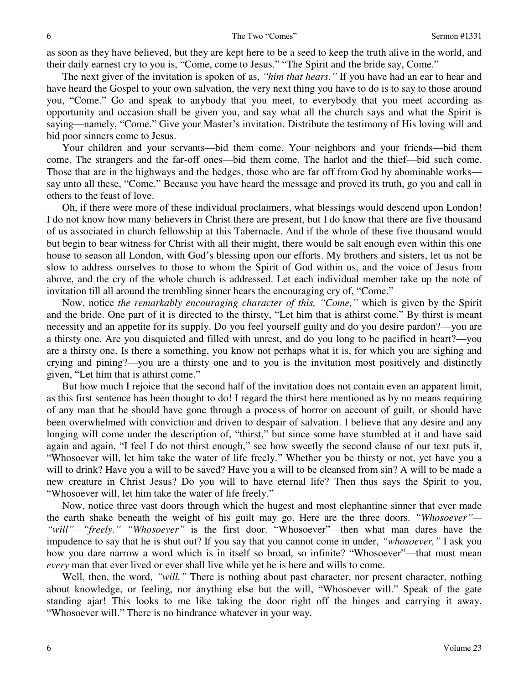as soon as they have believed, but they are kept here to be a seed to keep the truth alive in the world, and their daily earnest cry to you is, "Come, come to Jesus." "The Spirit and the bride say, Come."

 The next giver of the invitation is spoken of as, *"him that hears."* If you have had an ear to hear and have heard the Gospel to your own salvation, the very next thing you have to do is to say to those around you, "Come." Go and speak to anybody that you meet, to everybody that you meet according as opportunity and occasion shall be given you, and say what all the church says and what the Spirit is saying—namely, "Come." Give your Master's invitation. Distribute the testimony of His loving will and bid poor sinners come to Jesus.

 Your children and your servants—bid them come. Your neighbors and your friends—bid them come. The strangers and the far-off ones—bid them come. The harlot and the thief—bid such come. Those that are in the highways and the hedges, those who are far off from God by abominable works say unto all these, "Come." Because you have heard the message and proved its truth, go you and call in others to the feast of love.

 Oh, if there were more of these individual proclaimers, what blessings would descend upon London! I do not know how many believers in Christ there are present, but I do know that there are five thousand of us associated in church fellowship at this Tabernacle. And if the whole of these five thousand would but begin to bear witness for Christ with all their might, there would be salt enough even within this one house to season all London, with God's blessing upon our efforts. My brothers and sisters, let us not be slow to address ourselves to those to whom the Spirit of God within us, and the voice of Jesus from above, and the cry of the whole church is addressed. Let each individual member take up the note of invitation till all around the trembling sinner hears the encouraging cry of, "Come."

 Now, notice *the remarkably encouraging character of this, "Come,"* which is given by the Spirit and the bride. One part of it is directed to the thirsty, "Let him that is athirst come." By thirst is meant necessity and an appetite for its supply. Do you feel yourself guilty and do you desire pardon?—you are a thirsty one. Are you disquieted and filled with unrest, and do you long to be pacified in heart?—you are a thirsty one. Is there a something, you know not perhaps what it is, for which you are sighing and crying and pining?—you are a thirsty one and to you is the invitation most positively and distinctly given, "Let him that is athirst come."

 But how much I rejoice that the second half of the invitation does not contain even an apparent limit, as this first sentence has been thought to do! I regard the thirst here mentioned as by no means requiring of any man that he should have gone through a process of horror on account of guilt, or should have been overwhelmed with conviction and driven to despair of salvation. I believe that any desire and any longing will come under the description of, "thirst," but since some have stumbled at it and have said again and again, "I feel I do not thirst enough," see how sweetly the second clause of our text puts it, "Whosoever will, let him take the water of life freely." Whether you be thirsty or not, yet have you a will to drink? Have you a will to be saved? Have you a will to be cleansed from sin? A will to be made a new creature in Christ Jesus? Do you will to have eternal life? Then thus says the Spirit to you, "Whosoever will, let him take the water of life freely."

 Now, notice three vast doors through which the hugest and most elephantine sinner that ever made the earth shake beneath the weight of his guilt may go. Here are the three doors. *"Whosoever"— "will"—"freely." "Whosoever"* is the first door. "Whosoever"—then what man dares have the impudence to say that he is shut out? If you say that you cannot come in under, *"whosoever,"* I ask you how you dare narrow a word which is in itself so broad, so infinite? "Whosoever"—that must mean *every* man that ever lived or ever shall live while yet he is here and wills to come.

 Well, then, the word, *"will."* There is nothing about past character, nor present character, nothing about knowledge, or feeling, nor anything else but the will, "Whosoever will." Speak of the gate standing ajar! This looks to me like taking the door right off the hinges and carrying it away. "Whosoever will." There is no hindrance whatever in your way.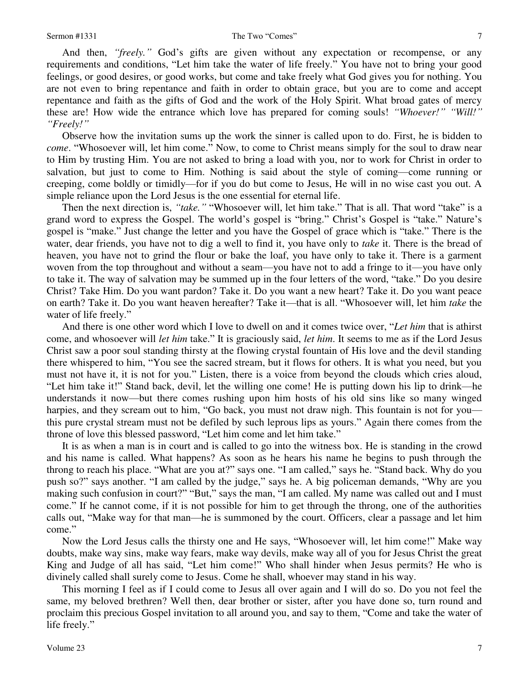And then, *"freely."* God's gifts are given without any expectation or recompense, or any requirements and conditions, "Let him take the water of life freely." You have not to bring your good feelings, or good desires, or good works, but come and take freely what God gives you for nothing. You are not even to bring repentance and faith in order to obtain grace, but you are to come and accept repentance and faith as the gifts of God and the work of the Holy Spirit. What broad gates of mercy these are! How wide the entrance which love has prepared for coming souls! *"Whoever!" "Will!" "Freely!"* 

 Observe how the invitation sums up the work the sinner is called upon to do. First, he is bidden to *come*. "Whosoever will, let him come." Now, to come to Christ means simply for the soul to draw near to Him by trusting Him. You are not asked to bring a load with you, nor to work for Christ in order to salvation, but just to come to Him. Nothing is said about the style of coming—come running or creeping, come boldly or timidly—for if you do but come to Jesus, He will in no wise cast you out. A simple reliance upon the Lord Jesus is the one essential for eternal life.

7 ydunty," orror Aase fittye ee itsgaul, ee deuu itsa ee deuu ytsa ee deuu versame van de van de van de van de van de van de van de van de van de van de van de van de van de van de van de van de van de van de van de van de Then the next direction is, *"take."* "Whosoever will, let him take." That is all. That word "take" is a grand word to express the Gospel. The world's gospel is "bring." Christ's Gospel is "take." Nature's gospel is "make." Just change the letter and you have the Gospel of grace which is "take." There is the water, dear friends, you have not to dig a well to find it, you have only to *take* it. There is the bread of heaven, you have not to grind the flour or bake the loaf, you have only to take it. There is a garment woven from the top throughout and without a seam—you have not to add a fringe to it—you have only to take it. The way of salvation may be summed up in the four letters of the word, "take." Do you desire Christ? Take Him. Do you want pardon? Take it. Do you want a new heart? Take it. Do you want peace on earth? Take it. Do you want heaven hereafter? Take it—that is all. "Whosoever will, let him *take* the water of life freely."

 And there is one other word which I love to dwell on and it comes twice over, "*Let him* that is athirst come, and whosoever will *let him* take." It is graciously said, *let him*. It seems to me as if the Lord Jesus Christ saw a poor soul standing thirsty at the flowing crystal fountain of His love and the devil standing there whispered to him, "You see the sacred stream, but it flows for others. It is what you need, but you must not have it, it is not for you." Listen, there is a voice from beyond the clouds which cries aloud, "Let him take it!" Stand back, devil, let the willing one come! He is putting down his lip to drink—he understands it now—but there comes rushing upon him hosts of his old sins like so many winged harpies, and they scream out to him, "Go back, you must not draw nigh. This fountain is not for you this pure crystal stream must not be defiled by such leprous lips as yours." Again there comes from the throne of love this blessed password, "Let him come and let him take."

 It is as when a man is in court and is called to go into the witness box. He is standing in the crowd and his name is called. What happens? As soon as he hears his name he begins to push through the throng to reach his place. "What are you at?" says one. "I am called," says he. "Stand back. Why do you push so?" says another. "I am called by the judge," says he. A big policeman demands, "Why are you making such confusion in court?" "But," says the man, "I am called. My name was called out and I must come." If he cannot come, if it is not possible for him to get through the throng, one of the authorities calls out, "Make way for that man—he is summoned by the court. Officers, clear a passage and let him come."

 Now the Lord Jesus calls the thirsty one and He says, "Whosoever will, let him come!" Make way doubts, make way sins, make way fears, make way devils, make way all of you for Jesus Christ the great King and Judge of all has said, "Let him come!" Who shall hinder when Jesus permits? He who is divinely called shall surely come to Jesus. Come he shall, whoever may stand in his way.

 This morning I feel as if I could come to Jesus all over again and I will do so. Do you not feel the same, my beloved brethren? Well then, dear brother or sister, after you have done so, turn round and proclaim this precious Gospel invitation to all around you, and say to them, "Come and take the water of life freely."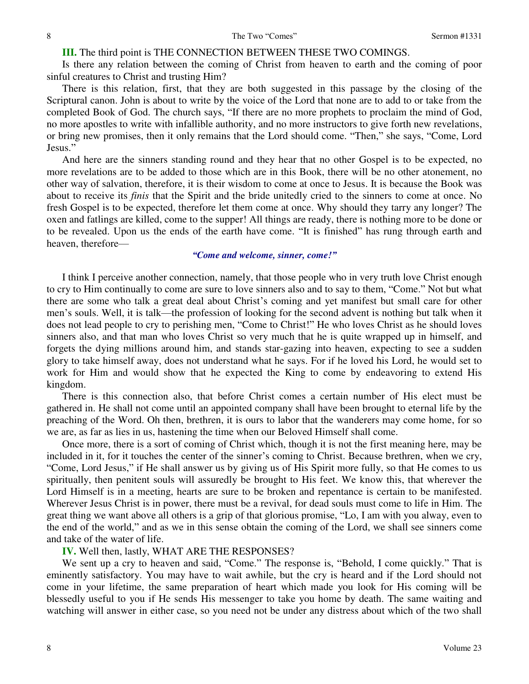## **III.** The third point is THE CONNECTION BETWEEN THESE TWO COMINGS.

 Is there any relation between the coming of Christ from heaven to earth and the coming of poor sinful creatures to Christ and trusting Him?

 There is this relation, first, that they are both suggested in this passage by the closing of the Scriptural canon. John is about to write by the voice of the Lord that none are to add to or take from the completed Book of God. The church says, "If there are no more prophets to proclaim the mind of God, no more apostles to write with infallible authority, and no more instructors to give forth new revelations, or bring new promises, then it only remains that the Lord should come. "Then," she says, "Come, Lord Jesus."

 And here are the sinners standing round and they hear that no other Gospel is to be expected, no more revelations are to be added to those which are in this Book, there will be no other atonement, no other way of salvation, therefore, it is their wisdom to come at once to Jesus. It is because the Book was about to receive its *finis* that the Spirit and the bride unitedly cried to the sinners to come at once. No fresh Gospel is to be expected, therefore let them come at once. Why should they tarry any longer? The oxen and fatlings are killed, come to the supper! All things are ready, there is nothing more to be done or to be revealed. Upon us the ends of the earth have come. "It is finished" has rung through earth and heaven, therefore—

### *"Come and welcome, sinner, come!"*

 I think I perceive another connection, namely, that those people who in very truth love Christ enough to cry to Him continually to come are sure to love sinners also and to say to them, "Come." Not but what there are some who talk a great deal about Christ's coming and yet manifest but small care for other men's souls. Well, it is talk—the profession of looking for the second advent is nothing but talk when it does not lead people to cry to perishing men, "Come to Christ!" He who loves Christ as he should loves sinners also, and that man who loves Christ so very much that he is quite wrapped up in himself, and forgets the dying millions around him, and stands star-gazing into heaven, expecting to see a sudden glory to take himself away, does not understand what he says. For if he loved his Lord, he would set to work for Him and would show that he expected the King to come by endeavoring to extend His kingdom.

 There is this connection also, that before Christ comes a certain number of His elect must be gathered in. He shall not come until an appointed company shall have been brought to eternal life by the preaching of the Word. Oh then, brethren, it is ours to labor that the wanderers may come home, for so we are, as far as lies in us, hastening the time when our Beloved Himself shall come.

 Once more, there is a sort of coming of Christ which, though it is not the first meaning here, may be included in it, for it touches the center of the sinner's coming to Christ. Because brethren, when we cry, "Come, Lord Jesus," if He shall answer us by giving us of His Spirit more fully, so that He comes to us spiritually, then penitent souls will assuredly be brought to His feet. We know this, that wherever the Lord Himself is in a meeting, hearts are sure to be broken and repentance is certain to be manifested. Wherever Jesus Christ is in power, there must be a revival, for dead souls must come to life in Him. The great thing we want above all others is a grip of that glorious promise, "Lo, I am with you alway, even to the end of the world," and as we in this sense obtain the coming of the Lord, we shall see sinners come and take of the water of life.

 **IV.** Well then, lastly, WHAT ARE THE RESPONSES?

 We sent up a cry to heaven and said, "Come." The response is, "Behold, I come quickly." That is eminently satisfactory. You may have to wait awhile, but the cry is heard and if the Lord should not come in your lifetime, the same preparation of heart which made you look for His coming will be blessedly useful to you if He sends His messenger to take you home by death. The same waiting and watching will answer in either case, so you need not be under any distress about which of the two shall